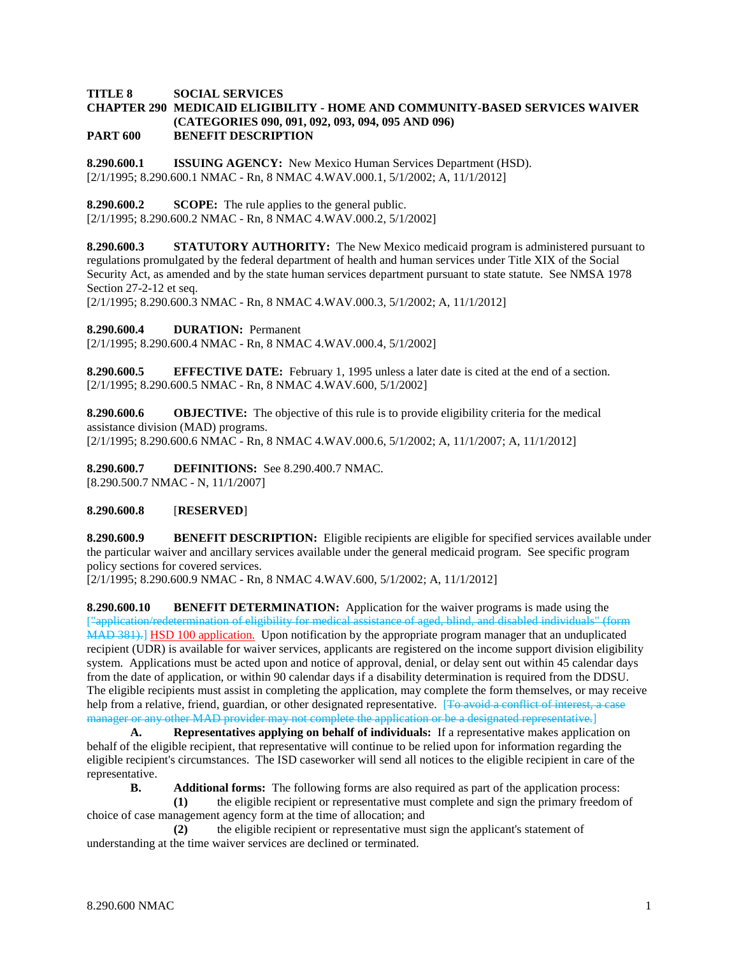## **TITLE 8 SOCIAL SERVICES**

### **CHAPTER 290 MEDICAID ELIGIBILITY - HOME AND COMMUNITY-BASED SERVICES WAIVER (CATEGORIES 090, 091, 092, 093, 094, 095 AND 096) PART 600 BENEFIT DESCRIPTION**

**8.290.600.1 ISSUING AGENCY:** New Mexico Human Services Department (HSD). [2/1/1995; 8.290.600.1 NMAC - Rn, 8 NMAC 4.WAV.000.1, 5/1/2002; A, 11/1/2012]

**8.290.600.2 SCOPE:** The rule applies to the general public.

[2/1/1995; 8.290.600.2 NMAC - Rn, 8 NMAC 4.WAV.000.2, 5/1/2002]

**8.290.600.3 STATUTORY AUTHORITY:** The New Mexico medicaid program is administered pursuant to regulations promulgated by the federal department of health and human services under Title XIX of the Social Security Act, as amended and by the state human services department pursuant to state statute. See NMSA 1978 Section 27-2-12 et seq.

[2/1/1995; 8.290.600.3 NMAC - Rn, 8 NMAC 4.WAV.000.3, 5/1/2002; A, 11/1/2012]

**8.290.600.4 DURATION:** Permanent

[2/1/1995; 8.290.600.4 NMAC - Rn, 8 NMAC 4.WAV.000.4, 5/1/2002]

**8.290.600.5 EFFECTIVE DATE:** February 1, 1995 unless a later date is cited at the end of a section. [2/1/1995; 8.290.600.5 NMAC - Rn, 8 NMAC 4.WAV.600, 5/1/2002]

**8.290.600.6 OBJECTIVE:** The objective of this rule is to provide eligibility criteria for the medical assistance division (MAD) programs. [2/1/1995; 8.290.600.6 NMAC - Rn, 8 NMAC 4.WAV.000.6, 5/1/2002; A, 11/1/2007; A, 11/1/2012]

**8.290.600.7 DEFINITIONS:** See 8.290.400.7 NMAC. [8.290.500.7 NMAC - N, 11/1/2007]

### **8.290.600.8** [**RESERVED**]

**8.290.600.9 BENEFIT DESCRIPTION:** Eligible recipients are eligible for specified services available under the particular waiver and ancillary services available under the general medicaid program. See specific program policy sections for covered services.

[2/1/1995; 8.290.600.9 NMAC - Rn, 8 NMAC 4.WAV.600, 5/1/2002; A, 11/1/2012]

**8.290.600.10 BENEFIT DETERMINATION:** Application for the waiver programs is made using the ["application/redetermination of eligibility for medical assistance of aged, blind, and disabled individuals" (form MAD 381). [HSD 100 application.] Upon notification by the appropriate program manager that an unduplicated recipient (UDR) is available for waiver services, applicants are registered on the income support division eligibility system. Applications must be acted upon and notice of approval, denial, or delay sent out within 45 calendar days from the date of application, or within 90 calendar days if a disability determination is required from the DDSU. The eligible recipients must assist in completing the application, may complete the form themselves, or may receive help from a relative, friend, guardian, or other designated representative. [To avoid a conflict of interest, a case manager or any other MAD provider may not complete the application or be a designated representative.]

**A. Representatives applying on behalf of individuals:** If a representative makes application on behalf of the eligible recipient, that representative will continue to be relied upon for information regarding the eligible recipient's circumstances. The ISD caseworker will send all notices to the eligible recipient in care of the representative.

**B. Additional forms:** The following forms are also required as part of the application process:

**(1)** the eligible recipient or representative must complete and sign the primary freedom of choice of case management agency form at the time of allocation; and

**(2)** the eligible recipient or representative must sign the applicant's statement of understanding at the time waiver services are declined or terminated.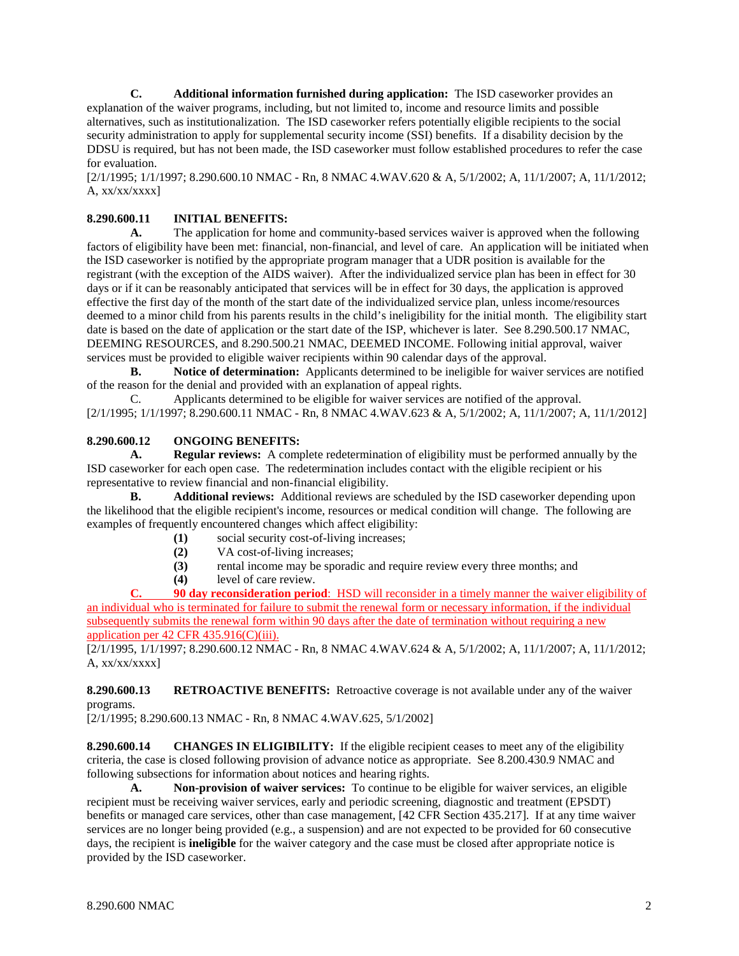**C. Additional information furnished during application:** The ISD caseworker provides an explanation of the waiver programs, including, but not limited to, income and resource limits and possible alternatives, such as institutionalization. The ISD caseworker refers potentially eligible recipients to the social security administration to apply for supplemental security income (SSI) benefits. If a disability decision by the DDSU is required, but has not been made, the ISD caseworker must follow established procedures to refer the case for evaluation.

[2/1/1995; 1/1/1997; 8.290.600.10 NMAC - Rn, 8 NMAC 4.WAV.620 & A, 5/1/2002; A, 11/1/2007; A, 11/1/2012; A,  $xx/xx/xxx$ ]

# **8.290.600.11 INITIAL BENEFITS:**

**A.** The application for home and community-based services waiver is approved when the following factors of eligibility have been met: financial, non-financial, and level of care. An application will be initiated when the ISD caseworker is notified by the appropriate program manager that a UDR position is available for the registrant (with the exception of the AIDS waiver). After the individualized service plan has been in effect for 30 days or if it can be reasonably anticipated that services will be in effect for 30 days, the application is approved effective the first day of the month of the start date of the individualized service plan, unless income/resources deemed to a minor child from his parents results in the child's ineligibility for the initial month. The eligibility start date is based on the date of application or the start date of the ISP, whichever is later. See 8.290.500.17 NMAC, DEEMING RESOURCES, and 8.290.500.21 NMAC, DEEMED INCOME. Following initial approval, waiver services must be provided to eligible waiver recipients within 90 calendar days of the approval.

**B. Notice of determination:** Applicants determined to be ineligible for waiver services are notified of the reason for the denial and provided with an explanation of appeal rights.

C. Applicants determined to be eligible for waiver services are notified of the approval. [2/1/1995; 1/1/1997; 8.290.600.11 NMAC - Rn, 8 NMAC 4.WAV.623 & A, 5/1/2002; A, 11/1/2007; A, 11/1/2012]

## **8.290.600.12 ONGOING BENEFITS:**

**A. Regular reviews:** A complete redetermination of eligibility must be performed annually by the ISD caseworker for each open case. The redetermination includes contact with the eligible recipient or his representative to review financial and non-financial eligibility.

**B. Additional reviews:** Additional reviews are scheduled by the ISD caseworker depending upon the likelihood that the eligible recipient's income, resources or medical condition will change. The following are examples of frequently encountered changes which affect eligibility:

- **(1)** social security cost-of-living increases;
- **(2)** VA cost-of-living increases;
- **(3)** rental income may be sporadic and require review every three months; and
- **(4)** level of care review.

**C. 90 day reconsideration period**: HSD will reconsider in a timely manner the waiver eligibility of an individual who is terminated for failure to submit the renewal form or necessary information, if the individual subsequently submits the renewal form within 90 days after the date of termination without requiring a new application per 42 CFR 435.916(C)(iii).

[2/1/1995, 1/1/1997; 8.290.600.12 NMAC - Rn, 8 NMAC 4.WAV.624 & A, 5/1/2002; A, 11/1/2007; A, 11/1/2012; A,  $xx/xx/xxx$ ]

**8.290.600.13 RETROACTIVE BENEFITS:** Retroactive coverage is not available under any of the waiver programs.

[2/1/1995; 8.290.600.13 NMAC - Rn, 8 NMAC 4.WAV.625, 5/1/2002]

**8.290.600.14 CHANGES IN ELIGIBILITY:** If the eligible recipient ceases to meet any of the eligibility criteria, the case is closed following provision of advance notice as appropriate. See 8.200.430.9 NMAC and following subsections for information about notices and hearing rights.

**A. Non-provision of waiver services:** To continue to be eligible for waiver services, an eligible recipient must be receiving waiver services, early and periodic screening, diagnostic and treatment (EPSDT) benefits or managed care services, other than case management, [42 CFR Section 435.217]. If at any time waiver services are no longer being provided (e.g., a suspension) and are not expected to be provided for 60 consecutive days, the recipient is **ineligible** for the waiver category and the case must be closed after appropriate notice is provided by the ISD caseworker.